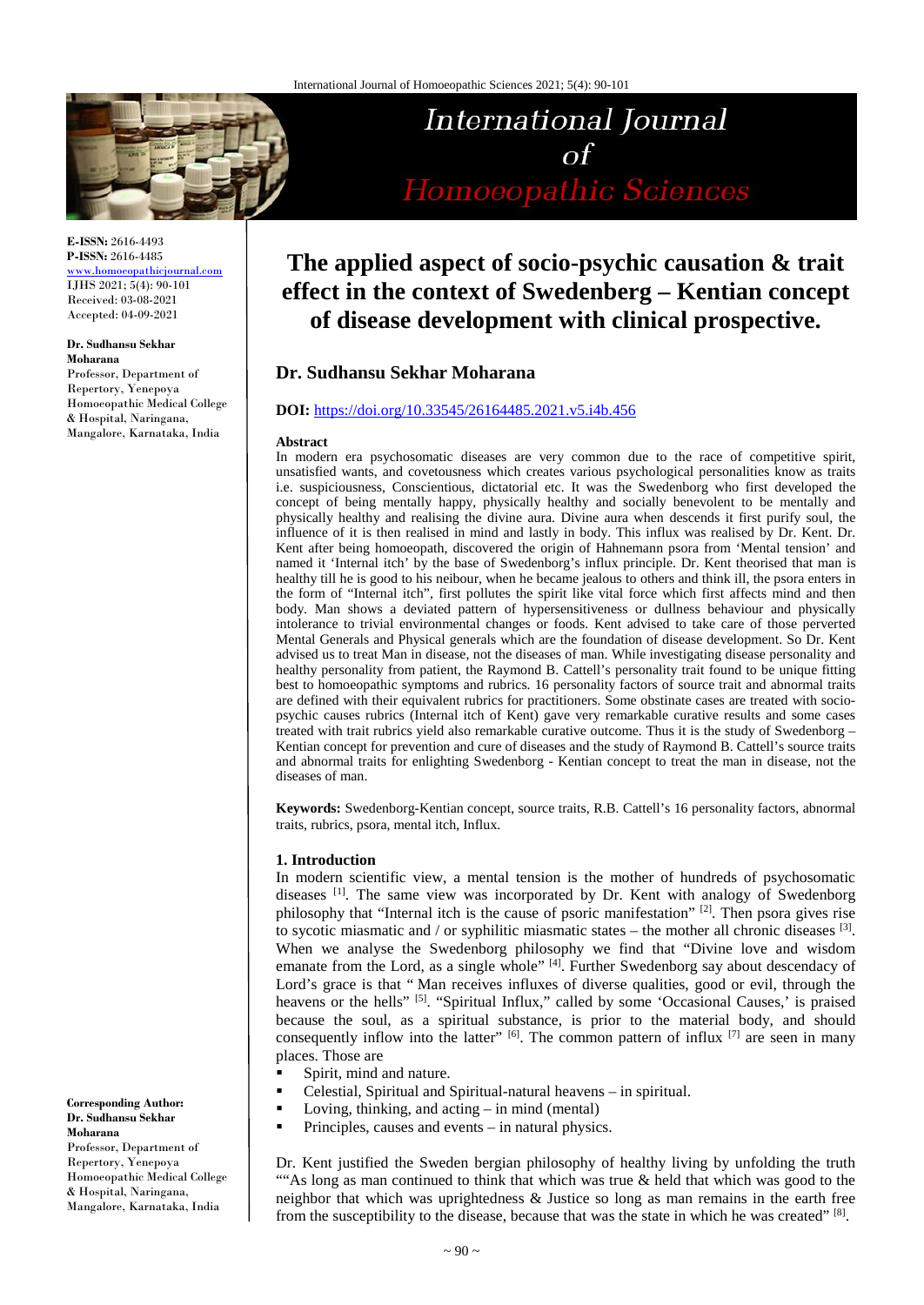

**E-ISSN:** 2616-4493 **P-ISSN:** 2616-4485 [www.homoeopathicjournal.com](file://Server/test/homoeopathicjournal/issue/vol%204/issue%201/www.homoeopathicjournal.com)

IJHS 2021; 5(4): 90-101 Received: 03-08-2021 Accepted: 04-09-2021

# **Dr. Sudhansu Sekhar**

**Moharana** Professor, Department of Repertory, Yenepoya Homoeopathic Medical College & Hospital, Naringana, Mangalore, Karnataka, India

International Journal  $\Omega$ Homoeopathic Sciences

# **The applied aspect of socio-psychic causation & trait effect in the context of Swedenberg – Kentian concept of disease development with clinical prospective.**

# **Dr. Sudhansu Sekhar Moharana**

# **DOI:** <https://doi.org/10.33545/26164485.2021.v5.i4b.456>

## **Abstract**

In modern era psychosomatic diseases are very common due to the race of competitive spirit, unsatisfied wants, and covetousness which creates various psychological personalities know as traits i.e. suspiciousness, Conscientious, dictatorial etc. It was the Swedenborg who first developed the concept of being mentally happy, physically healthy and socially benevolent to be mentally and physically healthy and realising the divine aura. Divine aura when descends it first purify soul, the influence of it is then realised in mind and lastly in body. This influx was realised by Dr. Kent. Dr. Kent after being homoeopath, discovered the origin of Hahnemann psora from 'Mental tension' and named it 'Internal itch' by the base of Swedenborg's influx principle. Dr. Kent theorised that man is healthy till he is good to his neibour, when he became jealous to others and think ill, the psora enters in the form of "Internal itch", first pollutes the spirit like vital force which first affects mind and then body. Man shows a deviated pattern of hypersensitiveness or dullness behaviour and physically intolerance to trivial environmental changes or foods. Kent advised to take care of those perverted Mental Generals and Physical generals which are the foundation of disease development. So Dr. Kent advised us to treat Man in disease, not the diseases of man. While investigating disease personality and healthy personality from patient, the Raymond B. Cattell's personality trait found to be unique fitting best to homoeopathic symptoms and rubrics. 16 personality factors of source trait and abnormal traits are defined with their equivalent rubrics for practitioners. Some obstinate cases are treated with sociopsychic causes rubrics (Internal itch of Kent) gave very remarkable curative results and some cases treated with trait rubrics yield also remarkable curative outcome. Thus it is the study of Swedenborg – Kentian concept for prevention and cure of diseases and the study of Raymond B. Cattell's source traits and abnormal traits for enlighting Swedenborg - Kentian concept to treat the man in disease, not the diseases of man.

**Keywords:** Swedenborg-Kentian concept, source traits, R.B. Cattell's 16 personality factors, abnormal traits, rubrics, psora, mental itch, Influx.

# **1. Introduction**

In modern scientific view, a mental tension is the mother of hundreds of psychosomatic diseases [1]. The same view was incorporated by Dr. Kent with analogy of Swedenborg philosophy that "Internal itch is the cause of psoric manifestation" [2]. Then psora gives rise to sycotic miasmatic and / or syphilitic miasmatic states  $-$  the mother all chronic diseases  $[3]$ . When we analyse the Swedenborg philosophy we find that "Divine love and wisdom emanate from the Lord, as a single whole" [4]. Further Swedenborg say about descendacy of Lord's grace is that " Man receives influxes of diverse qualities, good or evil, through the heavens or the hells" [5]. "Spiritual Influx," called by some 'Occasional Causes,' is praised because the soul, as a spiritual substance, is prior to the material body, and should consequently inflow into the latter"  $[6]$ . The common pattern of influx  $[7]$  are seen in many places. Those are

- **Spirit, mind and nature.**
- Celestial, Spiritual and Spiritual-natural heavens in spiritual.
- Loving, thinking, and acting  $-$  in mind (mental)
- **Principles, causes and events in natural physics.**

Dr. Kent justified the Sweden bergian philosophy of healthy living by unfolding the truth ""As long as man continued to think that which was true & held that which was good to the neighbor that which was uprightedness & Justice so long as man remains in the earth free from the susceptibility to the disease, because that was the state in which he was created"  $[8]$ .

**Corresponding Author: Dr. Sudhansu Sekhar Moharana** Professor, Department of Repertory, Yenepoya Homoeopathic Medical College & Hospital, Naringana, Mangalore, Karnataka, India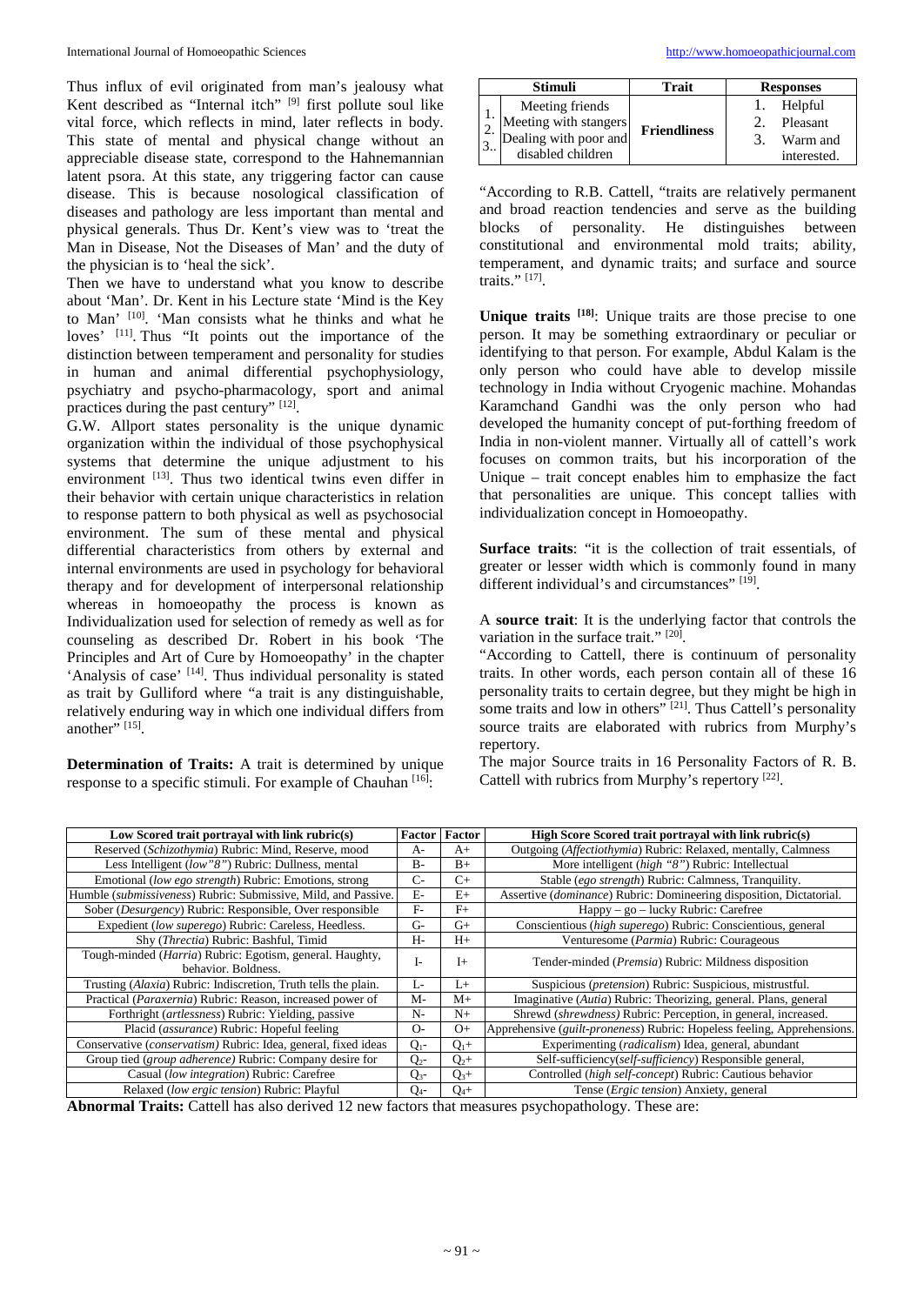Thus influx of evil originated from man's jealousy what Kent described as "Internal itch" [9] first pollute soul like vital force, which reflects in mind, later reflects in body. This state of mental and physical change without an appreciable disease state, correspond to the Hahnemannian latent psora. At this state, any triggering factor can cause disease. This is because nosological classification of diseases and pathology are less important than mental and physical generals. Thus Dr. Kent's view was to 'treat the Man in Disease, Not the Diseases of Man' and the duty of the physician is to 'heal the sick'.

Then we have to understand what you know to describe about 'Man'. Dr. Kent in his Lecture state 'Mind is the Key to Man' [10] . 'Man consists what he thinks and what he loves' [11]. Thus "It points out the importance of the distinction between temperament and personality for studies in human and animal differential psychophysiology, psychiatry and psycho-pharmacology, sport and animal practices during the past century" [12].

G.W. Allport states personality is the unique dynamic organization within the individual of those psychophysical systems that determine the unique adjustment to his environment [13]. Thus two identical twins even differ in their behavior with certain unique characteristics in relation to response pattern to both physical as well as psychosocial environment. The sum of these mental and physical differential characteristics from others by external and internal environments are used in psychology for behavioral therapy and for development of interpersonal relationship whereas in homoeopathy the process is known as Individualization used for selection of remedy as well as for counseling as described Dr. Robert in his book 'The Principles and Art of Cure by Homoeopathy' in the chapter 'Analysis of case' <sup>[14]</sup>. Thus individual personality is stated as trait by Gulliford where "a trait is any distinguishable, relatively enduring way in which one individual differs from another"  $^{[15]}$ .

**Determination of Traits:** A trait is determined by unique response to a specific stimuli. For example of Chauhan [16]:

|   | <b>Stimuli</b>                                                                                                                                                            | Trait               | <b>Responses</b>                                    |
|---|---------------------------------------------------------------------------------------------------------------------------------------------------------------------------|---------------------|-----------------------------------------------------|
| 3 | Meeting friends<br>$\begin{bmatrix} 1 \\ 2 \\ 3 \end{bmatrix}$ Meeting with stangers<br>$\begin{bmatrix} 2 \\ 3 \end{bmatrix}$ Dealing with poor and<br>disabled children | <b>Friendliness</b> | Helpful<br>Pleasant<br>Warm and<br>3<br>interested. |

"According to R.B. Cattell, "traits are relatively permanent and broad reaction tendencies and serve as the building blocks of personality. He distinguishes between constitutional and environmental mold traits; ability, temperament, and dynamic traits; and surface and source traits." [17] .

**Unique traits [18]** : Unique traits are those precise to one person. It may be something extraordinary or peculiar or identifying to that person. For example, Abdul Kalam is the only person who could have able to develop missile technology in India without Cryogenic machine. Mohandas Karamchand Gandhi was the only person who had developed the humanity concept of put-forthing freedom of India in non-violent manner. Virtually all of cattell's work focuses on common traits, but his incorporation of the Unique – trait concept enables him to emphasize the fact that personalities are unique. This concept tallies with individualization concept in Homoeopathy.

**Surface traits**: "it is the collection of trait essentials, of greater or lesser width which is commonly found in many different individual's and circumstances" [19].

A **source trait**: It is the underlying factor that controls the variation in the surface trait." [20].

"According to Cattell, there is continuum of personality traits. In other words, each person contain all of these 16 personality traits to certain degree, but they might be high in some traits and low in others" [21]. Thus Cattell's personality source traits are elaborated with rubrics from Murphy's repertory.

The major Source traits in 16 Personality Factors of R. B. Cattell with rubrics from Murphy's repertory<sup>[22]</sup>.

| Low Scored trait portraval with link rubric(s)                                  |           | <b>Factor</b> Factor | High Score Scored trait portraval with link rubric(s)                            |
|---------------------------------------------------------------------------------|-----------|----------------------|----------------------------------------------------------------------------------|
| Reserved (Schizothymia) Rubric: Mind, Reserve, mood                             | A-        | $A+$                 | Outgoing (Affectiothymia) Rubric: Relaxed, mentally, Calmness                    |
| Less Intelligent (low"8") Rubric: Dullness, mental                              | $B -$     | $B+$                 | More intelligent (high "8") Rubric: Intellectual                                 |
| Emotional (low ego strength) Rubric: Emotions, strong                           | $C-$      | $C_{+}$              | Stable (ego strength) Rubric: Calmness, Tranquility.                             |
| Humble (submissiveness) Rubric: Submissive, Mild, and Passive.                  | $E-$      | $E+$                 | Assertive ( <i>dominance</i> ) Rubric: Domineering disposition, Dictatorial.     |
| Sober (Desurgency) Rubric: Responsible, Over responsible                        | $F-$      | $F+$                 | Happy – go – lucky Rubric: Carefree                                              |
| Expedient (low superego) Rubric: Careless, Heedless.                            | $G-$      | $G+$                 | Conscientious (high superego) Rubric: Conscientious, general                     |
| Shy (Threctia) Rubric: Bashful, Timid                                           | H-        | $H+$                 | Venturesome (Parmia) Rubric: Courageous                                          |
| Tough-minded (Harria) Rubric: Egotism, general. Haughty,<br>behavior. Boldness. | I-        | $I+$                 | Tender-minded (Premsia) Rubric: Mildness disposition                             |
| Trusting (Alaxia) Rubric: Indiscretion, Truth tells the plain.                  | Ŀ         | $L+$                 | Suspicious (pretension) Rubric: Suspicious, mistrustful.                         |
| Practical (Paraxernia) Rubric: Reason, increased power of                       | M-        | $M+$                 | Imaginative (Autia) Rubric: Theorizing, general. Plans, general                  |
| Forthright (artlessness) Rubric: Yielding, passive                              | $N-$      | $N_{+}$              | Shrewd (shrewdness) Rubric: Perception, in general, increased.                   |
| Placid (assurance) Rubric: Hopeful feeling                                      | $O-$      | $O+$                 | Apprehensive ( <i>guilt-proneness</i> ) Rubric: Hopeless feeling, Apprehensions. |
| Conservative (conservatism) Rubric: Idea, general, fixed ideas                  | $Q_{1}$ - | $Q_1 +$              | Experimenting (radicalism) Idea, general, abundant                               |
| Group tied (group adherence) Rubric: Company desire for                         | $Q_{2}$ - | $Q_{2}+$             | Self-sufficiency(self-sufficiency) Responsible general,                          |
| Casual (low integration) Rubric: Carefree                                       | $Q_{3}$ - | $Q_{3+}$             | Controlled (high self-concept) Rubric: Cautious behavior                         |
| Relaxed (low ergic tension) Rubric: Playful                                     | $Q_{4}$ - | $Q_4+$               | Tense ( <i>Ergic tension</i> ) Anxiety, general                                  |

**Abnormal Traits:** Cattell has also derived 12 new factors that measures psychopathology. These are: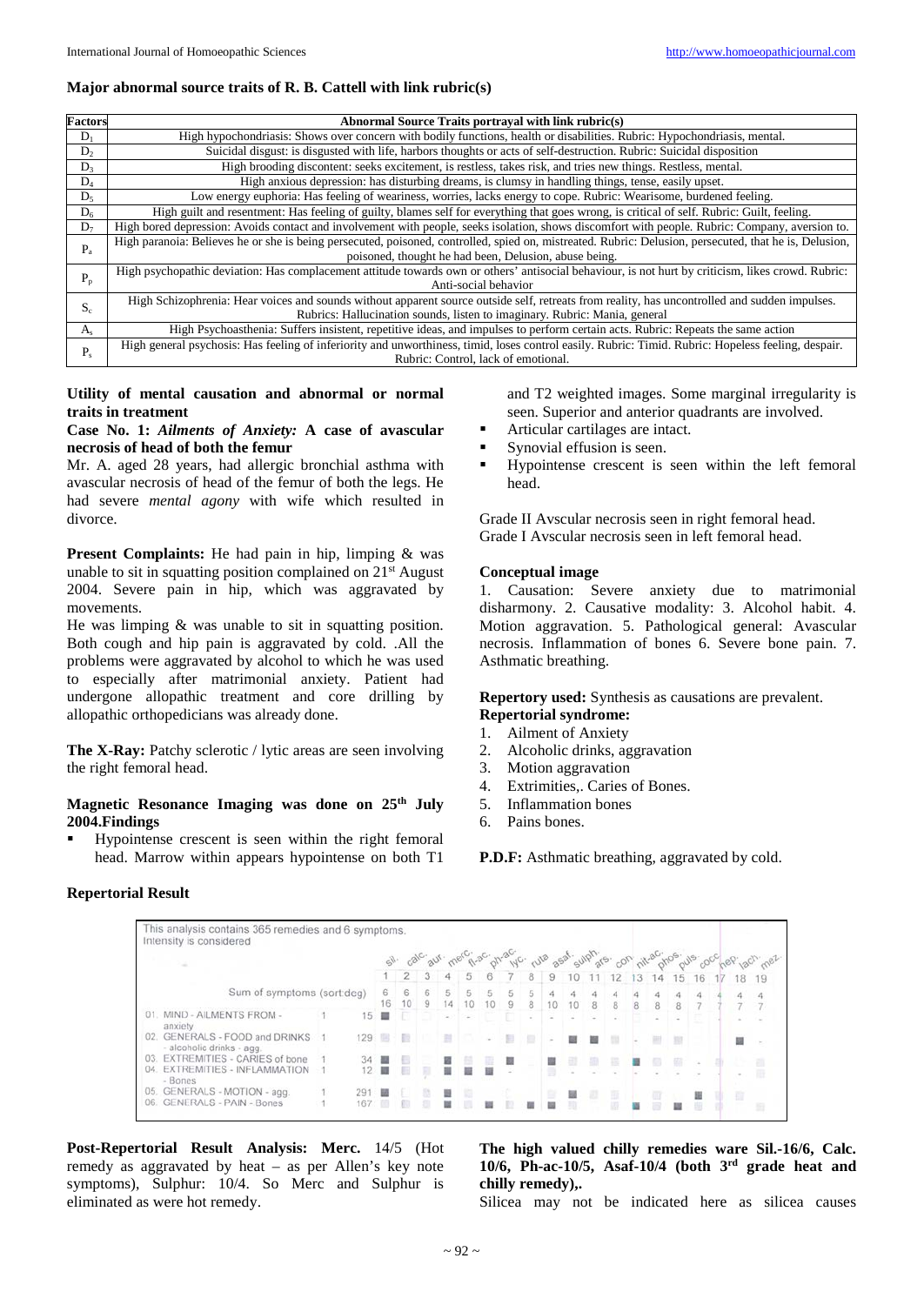# **Major abnormal source traits of R. B. Cattell with link rubric(s)**

| <b>Factors</b> | Abnormal Source Traits portraval with link rubric(s)                                                                                                   |
|----------------|--------------------------------------------------------------------------------------------------------------------------------------------------------|
| $D_1$          | High hypochondriasis: Shows over concern with bodily functions, health or disabilities. Rubric: Hypochondriasis, mental.                               |
| $D_2$          | Suicidal disgust: is disgusted with life, harbors thoughts or acts of self-destruction. Rubric: Suicidal disposition                                   |
| D <sub>3</sub> | High brooding discontent: seeks excitement, is restless, takes risk, and tries new things. Restless, mental.                                           |
| $D_4$          | High anxious depression: has disturbing dreams, is clumsy in handling things, tense, easily upset.                                                     |
| $D_5$          | Low energy euphoria: Has feeling of weariness, worries, lacks energy to cope. Rubric: Wearisome, burdened feeling.                                     |
| $D_6$          | High guilt and resentment: Has feeling of guilty, blames self for everything that goes wrong, is critical of self. Rubric: Guilt, feeling.             |
| $D_7$          | High bored depression: Avoids contact and involvement with people, seeks isolation, shows discomfort with people. Rubric: Company, aversion to.        |
| $P_{a}$        | High paranoia: Believes he or she is being persecuted, poisoned, controlled, spied on, mistreated. Rubric: Delusion, persecuted, that he is, Delusion, |
|                | poisoned, thought he had been, Delusion, abuse being.                                                                                                  |
| $P_p$          | High psychopathic deviation: Has complacement attitude towards own or others' antisocial behaviour, is not hurt by criticism, likes crowd. Rubric:     |
|                | Anti-social behavior                                                                                                                                   |
| $S_c$          | High Schizophrenia: Hear voices and sounds without apparent source outside self, retreats from reality, has uncontrolled and sudden impulses.          |
|                | Rubrics: Hallucination sounds, listen to imaginary. Rubric: Mania, general                                                                             |
| $A_{s}$        | High Psychoasthenia: Suffers insistent, repetitive ideas, and impulses to perform certain acts. Rubric: Repeats the same action                        |
| $P_{s}$        | High general psychosis: Has feeling of inferiority and unworthiness, timid, loses control easily. Rubric: Timid. Rubric: Hopeless feeling, despair.    |
|                | Rubric: Control, lack of emotional.                                                                                                                    |

**Utility of mental causation and abnormal or normal traits in treatment**

#### **Case No. 1:** *Ailments of Anxiety:* **A case of avascular necrosis of head of both the femur**

Mr. A. aged 28 years, had allergic bronchial asthma with avascular necrosis of head of the femur of both the legs. He had severe *mental agony* with wife which resulted in divorce.

**Present Complaints:** He had pain in hip, limping & was unable to sit in squatting position complained on  $21<sup>st</sup>$  August 2004. Severe pain in hip, which was aggravated by movements.

He was limping & was unable to sit in squatting position. Both cough and hip pain is aggravated by cold. .All the problems were aggravated by alcohol to which he was used to especially after matrimonial anxiety. Patient had undergone allopathic treatment and core drilling by allopathic orthopedicians was already done.

**The X-Ray:** Patchy sclerotic / lytic areas are seen involving the right femoral head.

## **Magnetic Resonance Imaging was done on 25th July 2004.Findings**

 Hypointense crescent is seen within the right femoral head. Marrow within appears hypointense on both T1

and T2 weighted images. Some marginal irregularity is seen. Superior and anterior quadrants are involved.

- Articular cartilages are intact.
- Synovial effusion is seen.
- Hypointense crescent is seen within the left femoral head.

Grade II Avscular necrosis seen in right femoral head. Grade I Avscular necrosis seen in left femoral head.

## **Conceptual image**

1. Causation: Severe anxiety due to matrimonial disharmony. 2. Causative modality: 3. Alcohol habit. 4. Motion aggravation. 5. Pathological general: Avascular necrosis. Inflammation of bones 6. Severe bone pain. 7. Asthmatic breathing.

# **Repertory used:** Synthesis as causations are prevalent. **Repertorial syndrome:**

#### 1. Ailment of Anxiety

- 2. Alcoholic drinks, aggravation
- 3. Motion aggravation
- 4. Extrimities,. Caries of Bones.
- 5. Inflammation bones
- 6. Pains bones.

**P.D.F:** Asthmatic breathing, aggravated by cold.

# **Repertorial Result**

|                                                             |     |         |         |                |         |        |    |   |        |    |           |    |       |   |    |    |  |        | sil calc auf marci-ac phracipe rule asat sulphare con nitracinos outs cocheen lach met |
|-------------------------------------------------------------|-----|---------|---------|----------------|---------|--------|----|---|--------|----|-----------|----|-------|---|----|----|--|--------|----------------------------------------------------------------------------------------|
|                                                             |     |         | 2       | 3 <sup>1</sup> | 4       | 5      |    |   | 8      | 9  |           |    | 12 13 |   | 14 | 15 |  |        | 19                                                                                     |
| Sum of symptoms (sort:deg)                                  |     | 6<br>16 | 6<br>10 | 9              | 5<br>14 | 10     | 10 | 9 | 5<br>8 | 10 | $10^{-1}$ | -8 | 8     | 8 | 8  |    |  |        |                                                                                        |
| MIND - AILMENTS FROM -<br>anxiety                           | 15. |         |         |                |         | $\sim$ |    |   |        |    |           |    |       |   |    |    |  |        |                                                                                        |
| 02. GENERALS - FOOD and DRINKS<br>- alcoholic drinks - agg. | 129 |         |         |                | ×       |        |    |   |        |    |           |    |       |   |    |    |  |        |                                                                                        |
| EXTREMITIES - CARIES of bone<br>03.                         | 34  | . .     |         |                |         |        |    |   |        |    |           |    |       |   |    |    |  |        |                                                                                        |
| EXTREMITIES - INFLAMMATION<br>04.<br>- Bones                |     |         |         |                |         |        |    |   |        |    |           |    |       |   |    |    |  | $\sim$ | 庭                                                                                      |
| 05. GENERALS - MOTION - agg.                                | 291 |         |         |                |         |        |    |   |        |    | 鹽         |    | Đ     |   | œ  |    |  | T)     |                                                                                        |
| <b>GENERALS - PAIN - Bones</b><br>06.                       | 167 |         |         |                |         |        |    |   |        |    | m         |    |       |   |    |    |  |        | 丑                                                                                      |

**Post-Repertorial Result Analysis: Merc.** 14/5 (Hot remedy as aggravated by heat – as per Allen's key note symptoms), Sulphur: 10/4. So Merc and Sulphur is eliminated as were hot remedy.

**The high valued chilly remedies ware Sil.-16/6, Calc. 10/6, Ph-ac-10/5, Asaf-10/4 (both 3rd grade heat and chilly remedy),.**

Silicea may not be indicated here as silicea causes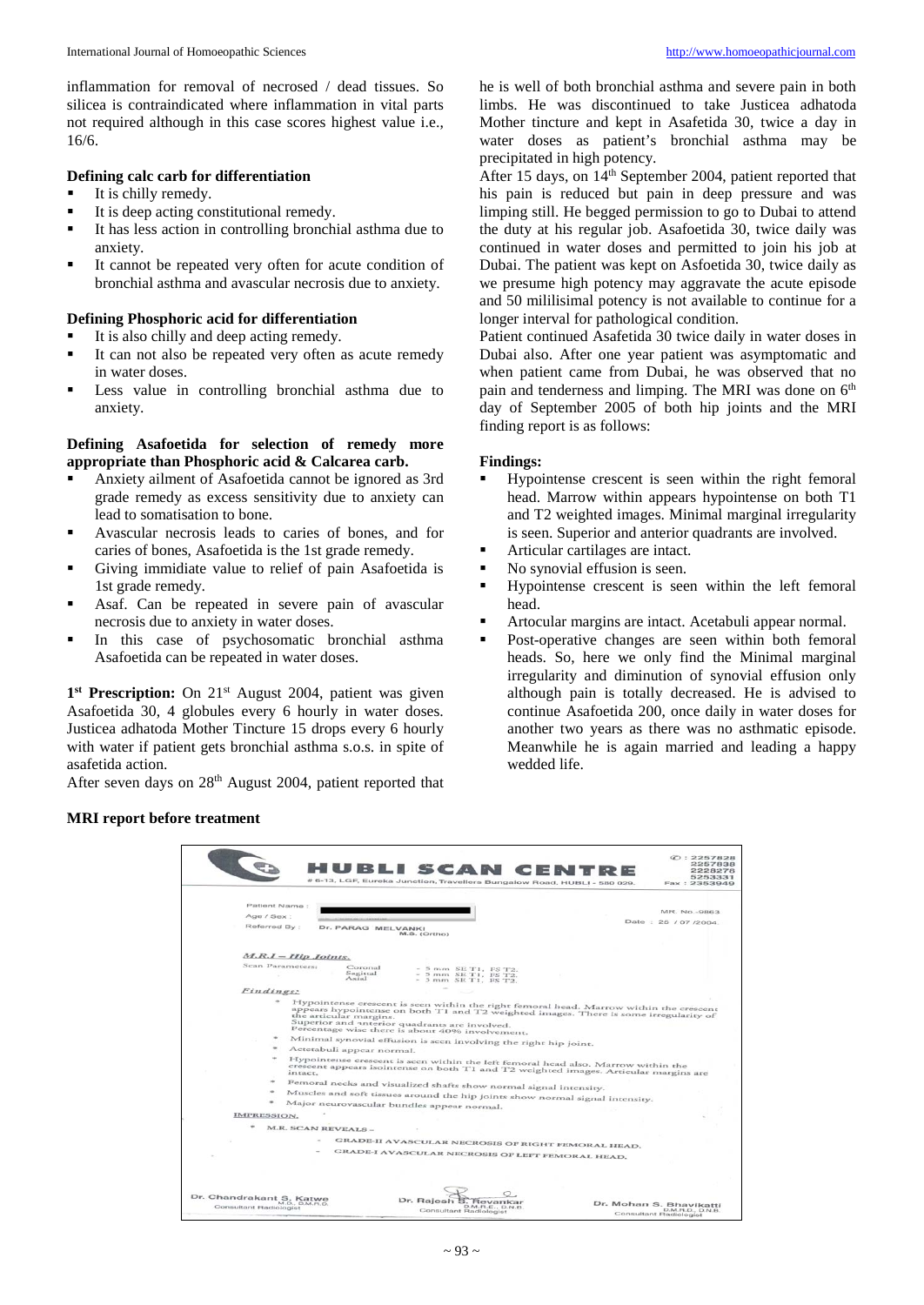inflammation for removal of necrosed / dead tissues. So silicea is contraindicated where inflammation in vital parts not required although in this case scores highest value i.e., 16/6.

## **Defining calc carb for differentiation**

- It is chilly remedy.
- It is deep acting constitutional remedy.<br>It has less action in controlling bronch
- It has less action in controlling bronchial asthma due to anxiety.
- It cannot be repeated very often for acute condition of bronchial asthma and avascular necrosis due to anxiety.

# **Defining Phosphoric acid for differentiation**

- It is also chilly and deep acting remedy.
- It can not also be repeated very often as acute remedy in water doses.
- **Less** value in controlling bronchial asthma due to anxiety.

# **Defining Asafoetida for selection of remedy more appropriate than Phosphoric acid & Calcarea carb.**

- Anxiety ailment of Asafoetida cannot be ignored as 3rd grade remedy as excess sensitivity due to anxiety can lead to somatisation to bone.
- Avascular necrosis leads to caries of bones, and for caries of bones, Asafoetida is the 1st grade remedy.
- Giving immidiate value to relief of pain Asafoetida is 1st grade remedy.
- Asaf. Can be repeated in severe pain of avascular necrosis due to anxiety in water doses.
- In this case of psychosomatic bronchial asthma Asafoetida can be repeated in water doses.

1<sup>st</sup> **Prescription:** On 21<sup>st</sup> August 2004, patient was given Asafoetida 30, 4 globules every 6 hourly in water doses. Justicea adhatoda Mother Tincture 15 drops every 6 hourly with water if patient gets bronchial asthma s.o.s. in spite of asafetida action.

After seven days on 28<sup>th</sup> August 2004, patient reported that

he is well of both bronchial asthma and severe pain in both limbs. He was discontinued to take Justicea adhatoda Mother tincture and kept in Asafetida 30, twice a day in water doses as patient's bronchial asthma may be precipitated in high potency.

After 15 days, on 14<sup>th</sup> September 2004, patient reported that his pain is reduced but pain in deep pressure and was limping still. He begged permission to go to Dubai to attend the duty at his regular job. Asafoetida 30, twice daily was continued in water doses and permitted to join his job at Dubai. The patient was kept on Asfoetida 30, twice daily as we presume high potency may aggravate the acute episode and 50 mililisimal potency is not available to continue for a longer interval for pathological condition.

Patient continued Asafetida 30 twice daily in water doses in Dubai also. After one year patient was asymptomatic and when patient came from Dubai, he was observed that no pain and tenderness and limping. The MRI was done on  $6<sup>th</sup>$ day of September 2005 of both hip joints and the MRI finding report is as follows:

#### **Findings:**

- Hypointense crescent is seen within the right femoral head. Marrow within appears hypointense on both T1 and T2 weighted images. Minimal marginal irregularity is seen. Superior and anterior quadrants are involved.
- Articular cartilages are intact.
- No synovial effusion is seen.
- Hypointense crescent is seen within the left femoral head.
- Artocular margins are intact. Acetabuli appear normal.
- Post-operative changes are seen within both femoral heads. So, here we only find the Minimal marginal irregularity and diminution of synovial effusion only although pain is totally decreased. He is advised to continue Asafoetida 200, once daily in water doses for another two years as there was no asthmatic episode. Meanwhile he is again married and leading a happy wedded life.

# **MRI report before treatment**

| HUBLI SCAN CENTRE<br># 6-13, LGF, Eureka Junction, Travellers Bungalow Road, HUBLI - 580 029.                                                                                                                                                                                                                                                                                    | C: 2257828<br>2257838<br>2228278<br>5253331<br>Fax: 2353949           |
|----------------------------------------------------------------------------------------------------------------------------------------------------------------------------------------------------------------------------------------------------------------------------------------------------------------------------------------------------------------------------------|-----------------------------------------------------------------------|
|                                                                                                                                                                                                                                                                                                                                                                                  |                                                                       |
| Patient Name:                                                                                                                                                                                                                                                                                                                                                                    |                                                                       |
| Age / Sex:                                                                                                                                                                                                                                                                                                                                                                       | MR. No.-9863.                                                         |
| Referred By :<br>Dr. PARAG MELVANKI<br>M.S. (Ortho)                                                                                                                                                                                                                                                                                                                              | Date: 25 / 07 /2004.                                                  |
| $M.R.I-Hip$ Joints.                                                                                                                                                                                                                                                                                                                                                              |                                                                       |
| Scan Parameters:<br>Coronal<br>$-5$ mm SE T1, FS T2.<br>Sagirral<br>5 mm SE T1, PS T2.<br>Axial<br>$-$ 5 mm SE T1, FS T2.                                                                                                                                                                                                                                                        |                                                                       |
| <i><b>Eindings:</b></i>                                                                                                                                                                                                                                                                                                                                                          |                                                                       |
| Hypointense crescent is seen within the right femoral head. Marrow within the crescent<br>appears hypointense on both T1 and T2 weighted images. There is some irregularity of<br>the articular margins.<br>Superior and unterior quadrants are involved.<br>Percentage wise there is about 40% involvement.<br>Minimal synovial effusion is seen involving the right hip joint. |                                                                       |
| Actetabuli appear normal.                                                                                                                                                                                                                                                                                                                                                        |                                                                       |
| Hypointense crescent is seen within the left femoral head also. Marrow within the<br>crescent appears isointense on both T1 and T2 weighted images. Articular margins are                                                                                                                                                                                                        |                                                                       |
| Femoral necks and visualized shafts show normal signal intensity.                                                                                                                                                                                                                                                                                                                |                                                                       |
| Muscles and soft tissues around the hip joints show normal signal intensity.                                                                                                                                                                                                                                                                                                     |                                                                       |
| Major neurovascular bundles appear normal.                                                                                                                                                                                                                                                                                                                                       |                                                                       |
| <b>IMPRESSION.</b>                                                                                                                                                                                                                                                                                                                                                               |                                                                       |
| M.R. SCAN REVEALS -                                                                                                                                                                                                                                                                                                                                                              |                                                                       |
|                                                                                                                                                                                                                                                                                                                                                                                  |                                                                       |
| GRADE-II AVASCULAR NECROSIS OF RIGHT FEMORAL HEAD.                                                                                                                                                                                                                                                                                                                               |                                                                       |
| GRADE-I AVASCULAR NECROSIS OF LEFT FEMORAL HEAD.                                                                                                                                                                                                                                                                                                                                 |                                                                       |
|                                                                                                                                                                                                                                                                                                                                                                                  |                                                                       |
| Dr. Chandrakant S. Katwe<br>Dr. Rajesh<br>Revanka                                                                                                                                                                                                                                                                                                                                |                                                                       |
| M.D., D.M.FLD.<br>D.M.R.E., D.N.B.<br>Consultant Radiologist<br>Consultant Radiologist                                                                                                                                                                                                                                                                                           | Dr. Mohan S. Bhavikatti<br>D.M.R.D., D.N.B.<br>Consultant Radiologist |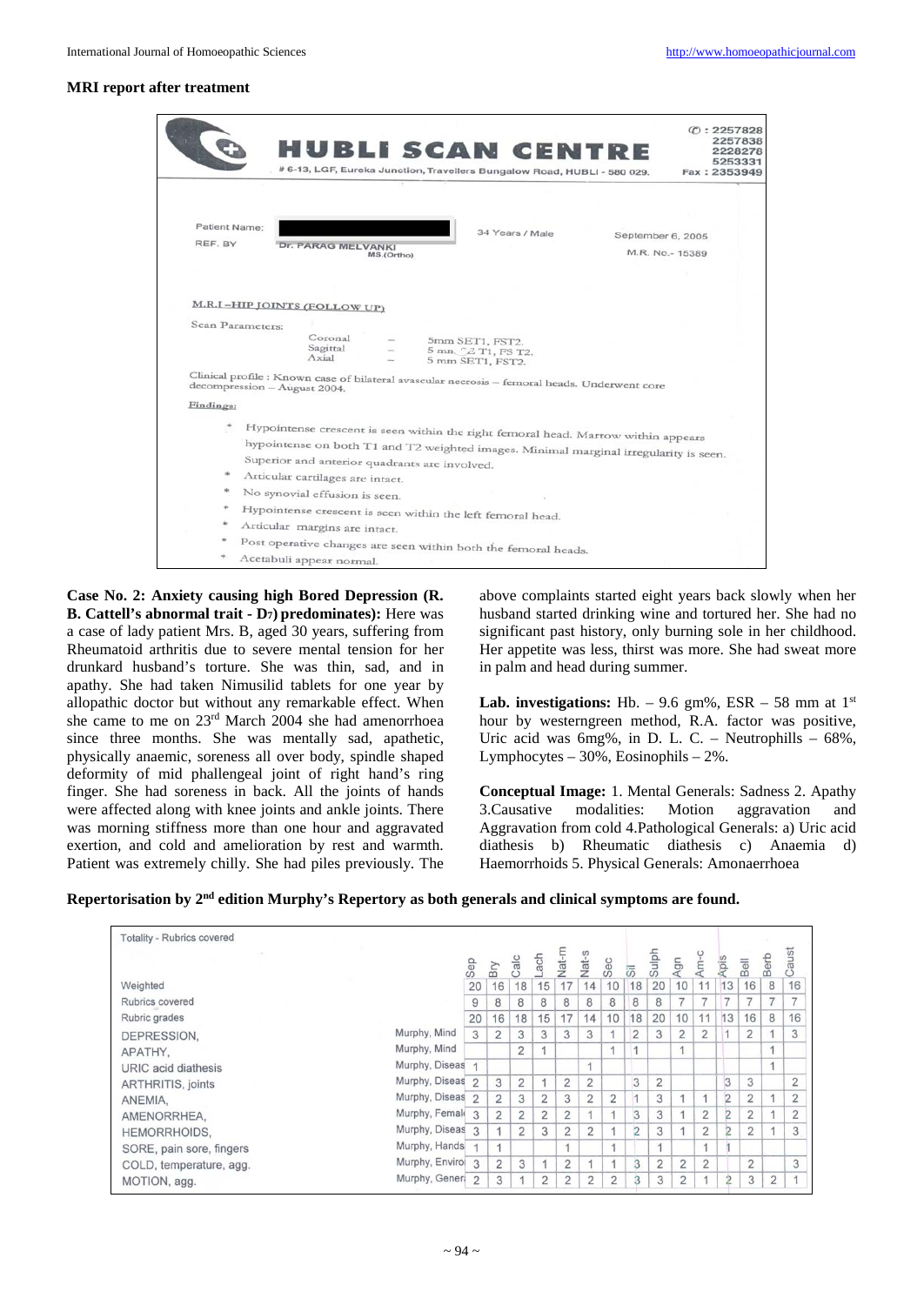#### **MRI report after treatment**

|                          |                                                  | <b>HUBLI SCAN CENTRE</b><br># 6-13, LGF, Eureka Junction, Travellers Bungalow Road, HUBLI - 580 029.                                                                                                                                                                                                            |            |                                                                                               |                                                                                                                                                                            | C: 2257828<br>2257838<br>2228278<br>5253331<br>Fax: 2353949 |
|--------------------------|--------------------------------------------------|-----------------------------------------------------------------------------------------------------------------------------------------------------------------------------------------------------------------------------------------------------------------------------------------------------------------|------------|-----------------------------------------------------------------------------------------------|----------------------------------------------------------------------------------------------------------------------------------------------------------------------------|-------------------------------------------------------------|
| Patient Name:<br>REF. BY |                                                  | <b>Dr. PARAG MELVANKI</b>                                                                                                                                                                                                                                                                                       | MS.(Ortho) | 34 Years / Male                                                                               |                                                                                                                                                                            | September 6, 2005<br>M.R. No.- 15389                        |
|                          |                                                  | <b>M.R.I-HIP JOINTS (FOLLOW UP)</b>                                                                                                                                                                                                                                                                             |            |                                                                                               |                                                                                                                                                                            |                                                             |
|                          | Scan Parameters:<br>decompression - August 2004. | Coronal<br>Sagittal<br>Axial                                                                                                                                                                                                                                                                                    |            | 5mm SET1, FST2.<br>5 mn <sup>2</sup> T <sub>1</sub> , FS T <sub>2</sub> .<br>5 mm SET1, FST2. | Clinical profile : Known case of bilateral avascular necrosis - femoral heads. Underwent core                                                                              |                                                             |
| Findings:                |                                                  |                                                                                                                                                                                                                                                                                                                 |            |                                                                                               |                                                                                                                                                                            |                                                             |
|                          |                                                  | Superior and anterior quadrants are involved.<br>Articular cartilages are intact.<br>No synovial effusion is seen.<br>Hypointense crescent is seen within the left femoral head.<br>Articular margins are intact.<br>Post operative changes are seen within both the femoral heads.<br>Acetabuli appear normal. |            |                                                                                               | Hypointense crescent is seen within the right femoral head. Marrow within appears<br>hypointense on both T1 and T2 weighted images. Minimal marginal irregularity is seen. |                                                             |

**Case No. 2: Anxiety causing high Bored Depression (R. B. Cattell's abnormal trait - D7) predominates):** Here was a case of lady patient Mrs. B, aged 30 years, suffering from Rheumatoid arthritis due to severe mental tension for her drunkard husband's torture. She was thin, sad, and in apathy. She had taken Nimusilid tablets for one year by allopathic doctor but without any remarkable effect. When she came to me on 23rd March 2004 she had amenorrhoea since three months. She was mentally sad, apathetic, physically anaemic, soreness all over body, spindle shaped deformity of mid phallengeal joint of right hand's ring finger. She had soreness in back. All the joints of hands were affected along with knee joints and ankle joints. There was morning stiffness more than one hour and aggravated exertion, and cold and amelioration by rest and warmth. Patient was extremely chilly. She had piles previously. The

above complaints started eight years back slowly when her husband started drinking wine and tortured her. She had no significant past history, only burning sole in her childhood. Her appetite was less, thirst was more. She had sweat more in palm and head during summer.

**Lab. investigations:** Hb. – 9.6 gm%, ESR – 58 mm at  $1<sup>st</sup>$ hour by westerngreen method, R.A. factor was positive, Uric acid was 6mg%, in D. L. C. – Neutrophills – 68%, Lymphocytes –  $30\%$ , Eosinophils –  $2\%$ .

**Conceptual Image:** 1. Mental Generals: Sadness 2. Apathy<br>3. Causative modalities: Motion aggravation and aggravation and Aggravation from cold 4.Pathological Generals: a) Uric acid diathesis b) Rheumatic diathesis c) Anaemia d) Haemorrhoids 5. Physical Generals: Amonaerrhoea

# **Repertorisation by 2nd edition Murphy's Repertory as both generals and clinical symptoms are found.**

| <b>Totality - Rubrics covered</b> |                             |                |                |                |                |                |                |                |                |                          |                      |                |                |                |                |                |
|-----------------------------------|-----------------------------|----------------|----------------|----------------|----------------|----------------|----------------|----------------|----------------|--------------------------|----------------------|----------------|----------------|----------------|----------------|----------------|
| $\sim$                            |                             |                |                |                | nder-          | Nat-m          | Nat-s          |                |                | Sulph                    |                      | Am-c           |                |                |                | aust           |
|                                   |                             | Sep            | Bry            | Calc           |                |                |                | Sec            | 访              |                          | Agn                  |                | Apis           | Bell           | Berb           | $\circ$        |
| Weighted                          |                             | 20             | 16             | 18             | 15             | 17             | 14             | 10             | 18             | 20                       | 10                   | 11             | 13             | 16             | 8              | 16             |
| Rubrics covered                   |                             | 9              | 8              | 8              | 8              | 8              | 8              | 8              | 8              | 8                        | 7                    | 7              | ⇁              | 7              | 7              | $-$            |
| Rubric grades                     |                             | 20             | 16             | 18             | 15             | 17             | 14             | 10             | 18             | 20                       | 10                   | 11             | 13             | 16             | 8              | 16             |
| DEPRESSION.                       | Murphy, Mind                | 3              | $\overline{2}$ | 3              | 3              | 3              | 3              | $\overline{A}$ | $\overline{2}$ | 3                        | 2                    | $\overline{2}$ |                | $\overline{2}$ |                | 3              |
| APATHY,                           | Murphy, Mind                |                |                | $\overline{2}$ | 1              |                |                | 1              | 1              |                          | $\blacktriangleleft$ |                |                |                | ×,             |                |
| URIC acid diathesis               | Murphy, Diseas              |                |                |                |                |                | $\overline{4}$ |                |                |                          |                      |                |                |                | 1              |                |
| <b>ARTHRITIS, joints</b>          | Murphy, Diseas              | $\overline{2}$ | 3              | $\overline{2}$ |                | $\overline{2}$ | 2              |                | 3              | $\overline{2}$           |                      |                | $\overline{3}$ | 3              |                | 2              |
| ANEMIA,                           | Murphy, Diseas              | $\overline{2}$ | $\overline{2}$ | 3              | $\overline{2}$ | 3              | $\overline{2}$ | $\overline{2}$ | 1              | 3                        |                      | $\overline{A}$ | $\overline{2}$ | $\overline{2}$ |                | $\overline{2}$ |
| AMENORRHEA.                       | Murphy, Femali 3            |                | $\overline{2}$ | $\overline{2}$ | $\overline{2}$ | $\overline{2}$ |                | $\overline{A}$ | 3              | 3                        |                      | $\overline{2}$ | $\overline{2}$ | $\overline{2}$ |                | $\overline{2}$ |
| <b>HEMORRHOIDS.</b>               | Murphy, Diseas <sub>3</sub> |                | 4              | $\overline{2}$ | 3              | $\overline{2}$ | $\overline{2}$ | A              | $\overline{2}$ | 3                        |                      | $\overline{2}$ | 2              | $\overline{2}$ |                | 3              |
| SORE, pain sore, fingers          | Murphy, Hands               |                | 1              |                |                |                |                | $\overline{A}$ |                | $\overline{\phantom{a}}$ |                      | $\mathbf{1}$   |                |                |                |                |
| COLD, temperature, agg.           | Murphy, Envirol 3           |                | 2              | 3              | $\mathbf{1}$   | 2              | 1              | $\overline{A}$ | $\overline{3}$ | $\overline{2}$           | $\overline{2}$       | 2              |                | $\overline{2}$ |                | 3              |
| MOTION, agg.                      | Murphy, Genera              | $\mathfrak{D}$ | 3              |                | 2              | $\overline{2}$ | $\overline{2}$ | $\overline{2}$ | 3              | 3                        | $\overline{2}$       | $\overline{A}$ | $\overline{2}$ | 3              | $\overline{2}$ |                |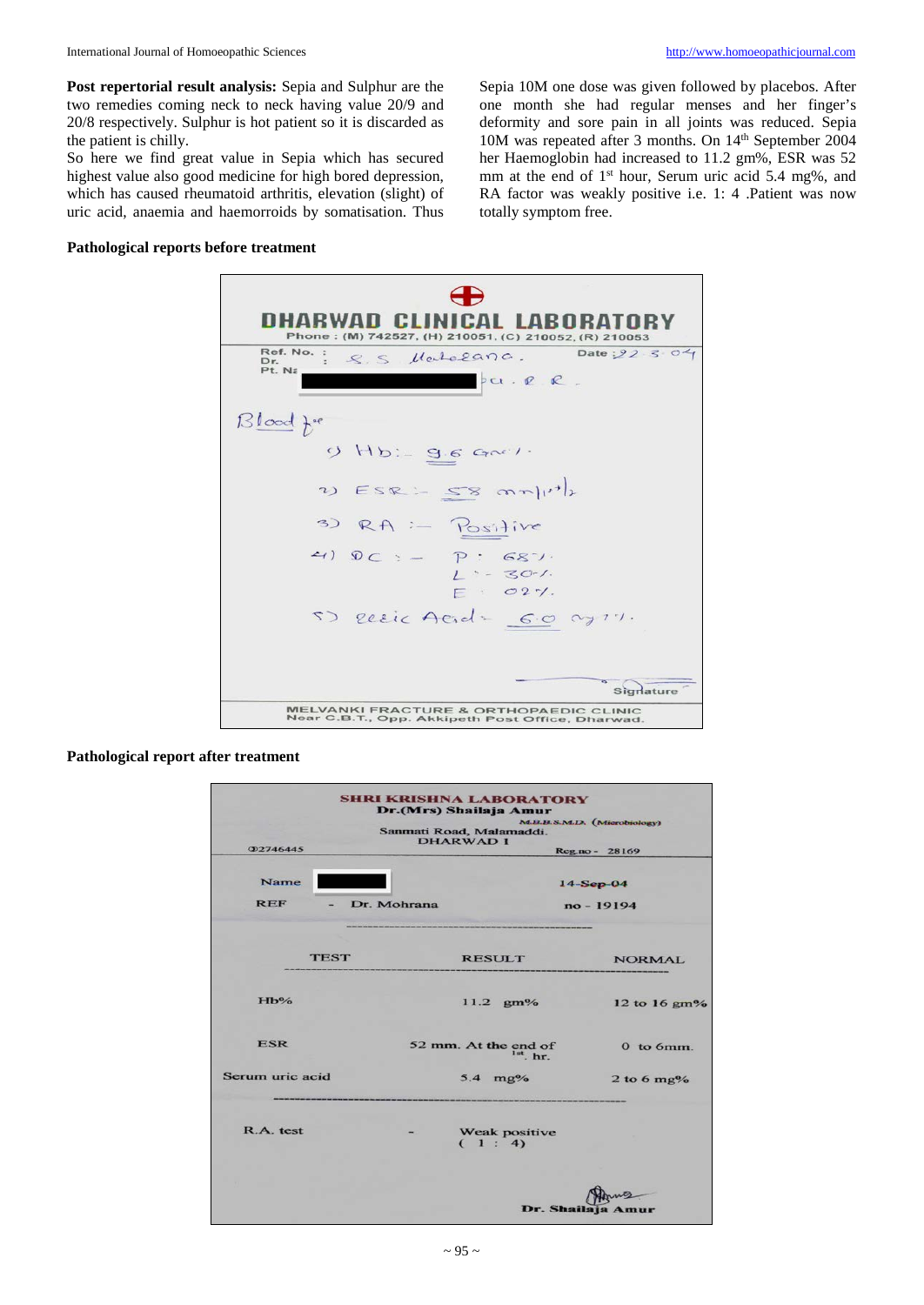**Post repertorial result analysis:** Sepia and Sulphur are the two remedies coming neck to neck having value 20/9 and 20/8 respectively. Sulphur is hot patient so it is discarded as the patient is chilly.

So here we find great value in Sepia which has secured highest value also good medicine for high bored depression, which has caused rheumatoid arthritis, elevation (slight) of uric acid, anaemia and haemorroids by somatisation. Thus

Sepia 10M one dose was given followed by placebos. After one month she had regular menses and her finger's deformity and sore pain in all joints was reduced. Sepia 10M was repeated after 3 months. On 14th September 2004 her Haemoglobin had increased to 11.2 gm%, ESR was 52 mm at the end of 1<sup>st</sup> hour, Serum uric acid 5.4 mg%, and RA factor was weakly positive i.e. 1: 4 .Patient was now totally symptom free.

#### **Pathological reports before treatment**



#### **Pathological report after treatment**

|                 |             | <b>SHRI KRISHNA LABORATORY</b><br>Dr.(Mrs) Shailaja Amur<br>Sanmati Road, Malamaddi.<br><b>DHARWAD 1</b> | <b>M.B.B.S.M.D.</b> (Microbiology) |
|-----------------|-------------|----------------------------------------------------------------------------------------------------------|------------------------------------|
| <b>22746445</b> |             |                                                                                                          | Reg.no - 28169                     |
| <b>Name</b>     |             |                                                                                                          | $14-Sep-04$                        |
| <b>REF</b>      | Dr. Mohrana |                                                                                                          | no - 19194                         |
|                 |             |                                                                                                          |                                    |
| <b>TEST</b>     |             | <b>RESULT</b>                                                                                            | <b>NORMAL</b>                      |
| Hb%             |             | $11.2 \, \text{gm\%}$                                                                                    | 12 to 16 gm%                       |
| <b>ESR</b>      |             | 52 mm. At the end of<br>$1st$ <sub>hr</sub>                                                              | $0to 6mm$ .                        |
| Serum uric acid |             | $5.4 \text{ mg%}$                                                                                        | 2 to 6 $mg\%$                      |
| R.A. test       |             | Weak positive<br>(1:4)                                                                                   |                                    |
|                 |             |                                                                                                          |                                    |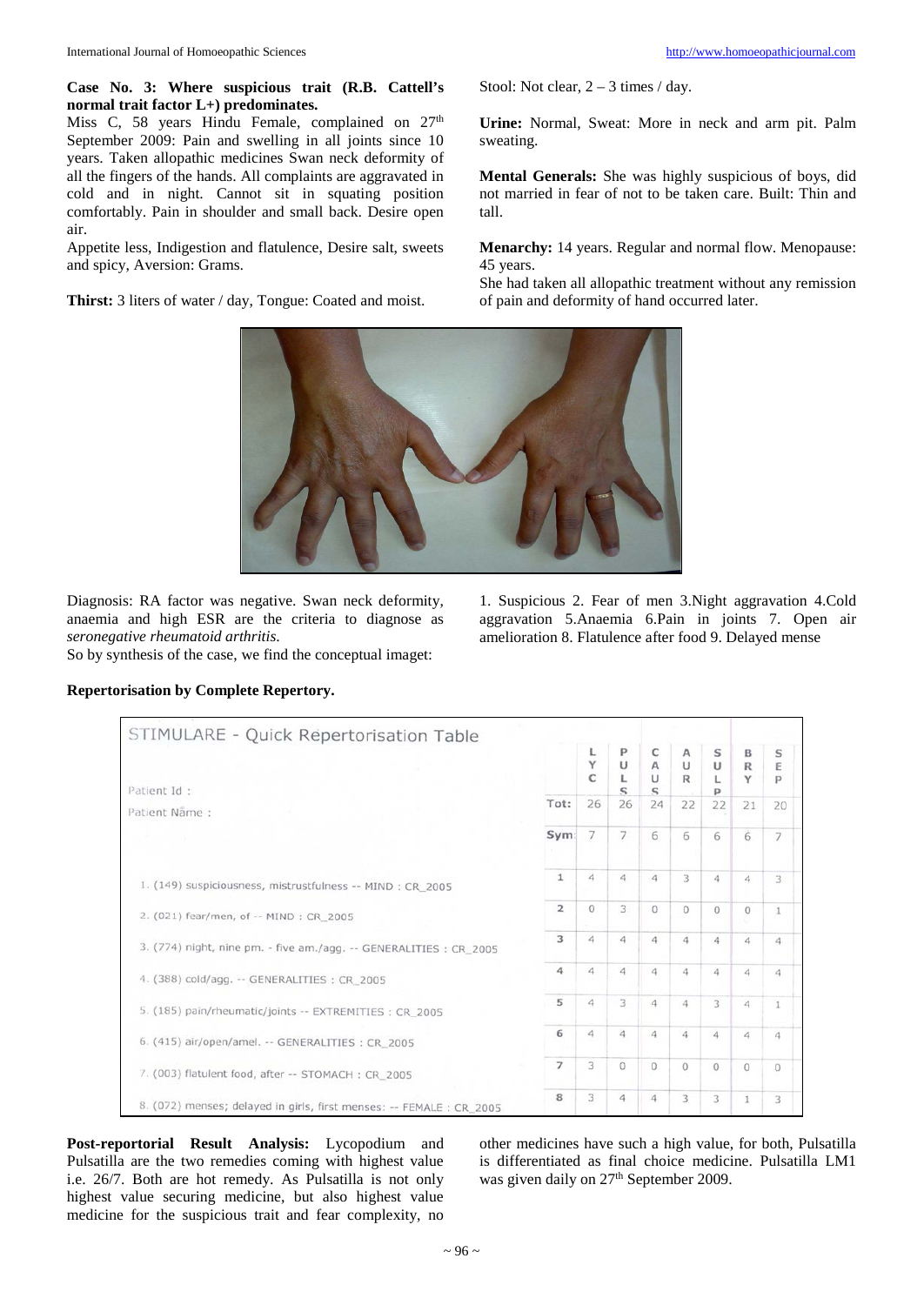#### **Case No. 3: Where suspicious trait (R.B. Cattell's normal trait factor L+) predominates.**

Miss C, 58 years Hindu Female, complained on  $27<sup>th</sup>$ September 2009: Pain and swelling in all joints since 10 years. Taken allopathic medicines Swan neck deformity of all the fingers of the hands. All complaints are aggravated in cold and in night. Cannot sit in squating position comfortably. Pain in shoulder and small back. Desire open air.

Appetite less, Indigestion and flatulence, Desire salt, sweets and spicy, Aversion: Grams.

**Thirst:** 3 liters of water / day, Tongue: Coated and moist.

Stool: Not clear,  $2 - 3$  times / day.

**Urine:** Normal, Sweat: More in neck and arm pit. Palm sweating.

**Mental Generals:** She was highly suspicious of boys, did not married in fear of not to be taken care. Built: Thin and tall.

**Menarchy:** 14 years. Regular and normal flow. Menopause: 45 years.

She had taken all allopathic treatment without any remission of pain and deformity of hand occurred later.



Diagnosis: RA factor was negative. Swan neck deformity, anaemia and high ESR are the criteria to diagnose as *seronegative rheumatoid arthritis*.

So by synthesis of the case, we find the conceptual imaget:

1. Suspicious 2. Fear of men 3.Night aggravation 4.Cold aggravation 5.Anaemia 6.Pain in joints 7. Open air amelioration 8. Flatulence after food 9. Delayed mense

| STIMULARE - Quick Repertorisation Table                              |                |                       |                            |                                 |                                        |                  |                       |                |
|----------------------------------------------------------------------|----------------|-----------------------|----------------------------|---------------------------------|----------------------------------------|------------------|-----------------------|----------------|
| Patient Id:                                                          |                | L<br>Y<br>$\mathbf C$ | P<br>U<br>L<br>$\mathbf S$ | C<br>A<br>$\cup$<br>$\mathbf S$ | $\mathsf{A}$<br>$\cup$<br>$\mathbb{R}$ | S<br>U<br>L<br>p | B<br>$\mathbb R$<br>Y | S<br>E<br>P    |
| Patient Name:                                                        | Tot:           | 26                    | 26                         | 24                              | 22                                     | 22               | 21                    | 20             |
|                                                                      | Sym:           | $\overline{7}$        | $\overline{7}$             | 6                               | 6                                      | 6                | $\ddot{6}$            | $\overline{7}$ |
| 1. (149) suspiciousness, mistrustfulness -- MIND : CR 2005           | $\mathbf{1}$   | $\overline{A}$        | $\Delta$                   | 4                               | 3                                      | $\ddot{a}$       | 4                     | 3              |
| 2. (021) fear/men, of -- MIND : CR 2005                              | $\overline{2}$ | $\Omega$              | 3                          | 0                               | $\circ$                                | $\circ$          | $\circ$               |                |
| 3. (774) night, nine pm. - five am./agg. -- GENERALITIES : CR_2005   | 3              | $\overline{A}$        | $\sqrt{4}$                 | 4                               | 4                                      | $\ddot{a}$       | $\overline{a}$        | $\ddot{a}$     |
| 4. (388) cold/agg. -- GENERALITIES: CR 2005                          | 4              | 4                     | $\overline{4}$             | 4                               | 4                                      | 4                | 4                     | 4              |
| 5. (185) pain/rheumatic/joints -- EXTREMITIES : CR_2005              | 5              | 4                     | 3.                         | 4                               | $\overline{4}$                         | 3                | 4                     |                |
| 6. (415) air/open/amel. -- GENERALITIES : CR_2005                    | 6              | $\overline{a}$        | $\overline{4}$             | 4                               | $\overline{4}$                         | 4                | 4                     | 4              |
| 7. (003) flatulent food, after -- STOMACH : CR_2005                  | $\overline{ }$ | 3                     | $\Omega$                   | $\Omega$                        | $\circ$                                | $\circ$          | $\circ$               | $\Omega$       |
| 8. (072) menses; delayed in girls, first menses: -- FEMALE : CR_2005 | 8              | 3                     | $\overline{4}$             | 4                               | 3                                      | 3                | 1                     | 3              |

# **Repertorisation by Complete Repertory.**

**Post-reportorial Result Analysis:** Lycopodium and Pulsatilla are the two remedies coming with highest value i.e. 26/7. Both are hot remedy. As Pulsatilla is not only highest value securing medicine, but also highest value medicine for the suspicious trait and fear complexity, no

other medicines have such a high value, for both, Pulsatilla is differentiated as final choice medicine. Pulsatilla LM1 was given daily on 27<sup>th</sup> September 2009.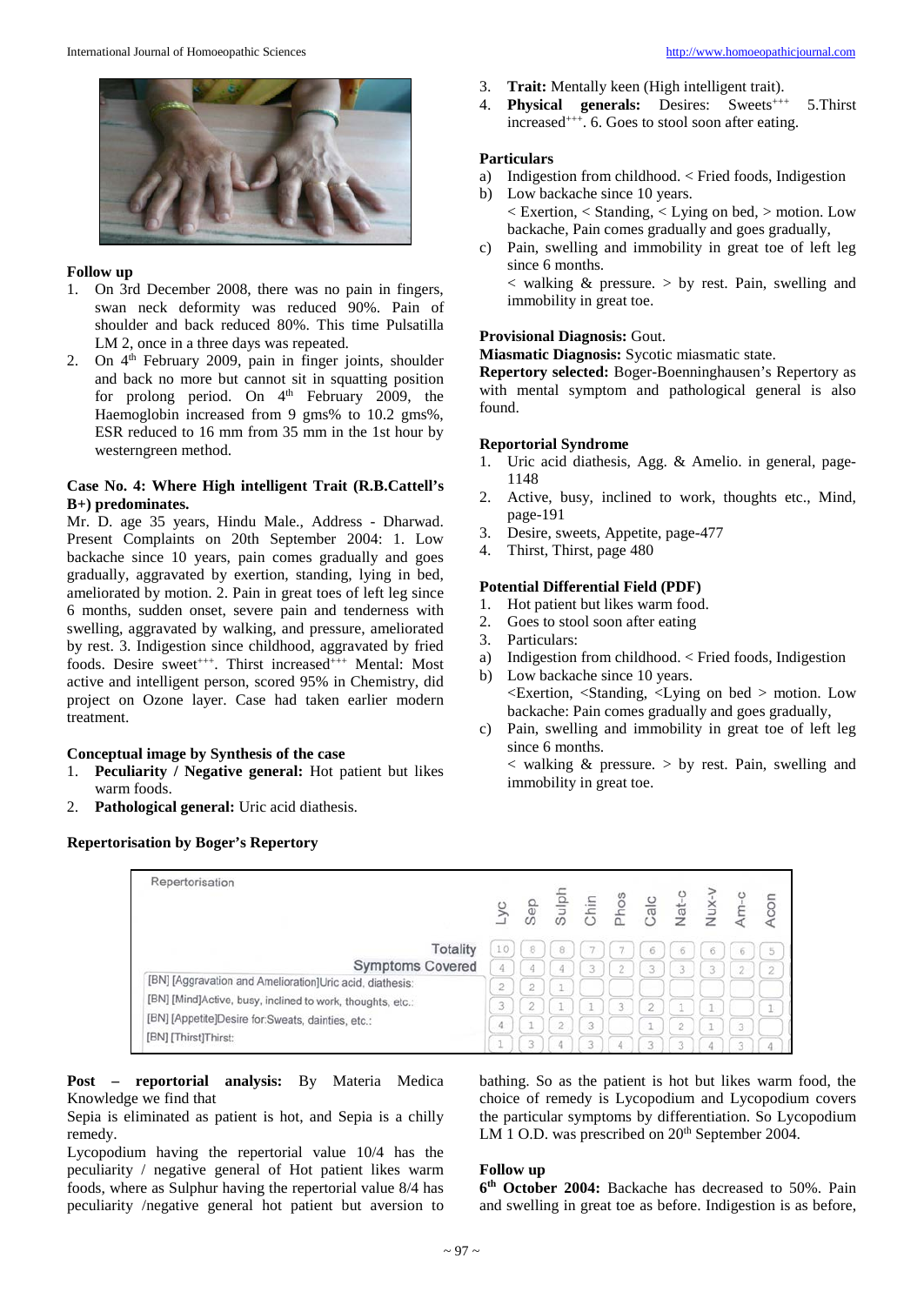

#### **Follow up**

- 1. On 3rd December 2008, there was no pain in fingers, swan neck deformity was reduced 90%. Pain of shoulder and back reduced 80%. This time Pulsatilla LM 2, once in a three days was repeated.
- 2. On 4<sup>th</sup> February 2009, pain in finger joints, shoulder and back no more but cannot sit in squatting position for prolong period. On  $4<sup>th</sup>$  February 2009, the Haemoglobin increased from 9 gms% to 10.2 gms%, ESR reduced to 16 mm from 35 mm in the 1st hour by westerngreen method.

## **Case No. 4: Where High intelligent Trait (R.B.Cattell's B+) predominates.**

Mr. D. age 35 years, Hindu Male., Address - Dharwad. Present Complaints on 20th September 2004: 1. Low backache since 10 years, pain comes gradually and goes gradually, aggravated by exertion, standing, lying in bed, ameliorated by motion. 2. Pain in great toes of left leg since 6 months, sudden onset, severe pain and tenderness with swelling, aggravated by walking, and pressure, ameliorated by rest. 3. Indigestion since childhood, aggravated by fried foods. Desire sweet<sup>+++</sup>. Thirst increased<sup>+++</sup> Mental: Most active and intelligent person, scored 95% in Chemistry, did project on Ozone layer. Case had taken earlier modern treatment.

# **Conceptual image by Synthesis of the case**

- 1. **Peculiarity / Negative general:** Hot patient but likes warm foods.
- 2. **Pathological general:** Uric acid diathesis.

#### **Repertorisation by Boger's Repertory**

- 3. **Trait:** Mentally keen (High intelligent trait).
- 4. **Physical generals:** Desires: Sweets<sup>+++</sup> 5. Thirst increased<sup>+++</sup>. 6. Goes to stool soon after eating.

#### **Particulars**

- a) Indigestion from childhood. < Fried foods, Indigestion
- b) Low backache since 10 years. < Exertion, < Standing, < Lying on bed, > motion. Low backache, Pain comes gradually and goes gradually,
- c) Pain, swelling and immobility in great toe of left leg since 6 months.  $\langle$  walking  $\&$  pressure.  $>$  by rest. Pain, swelling and

# **Provisional Diagnosis:** Gout.

immobility in great toe.

**Miasmatic Diagnosis:** Sycotic miasmatic state.

**Repertory selected:** Boger-Boenninghausen's Repertory as with mental symptom and pathological general is also found.

#### **Reportorial Syndrome**

- 1. Uric acid diathesis, Agg. & Amelio. in general, page-1148
- 2. Active, busy, inclined to work, thoughts etc., Mind, page-191
- 3. Desire, sweets, Appetite, page-477
- 4. Thirst, Thirst, page 480

## **Potential Differential Field (PDF)**

- 1. Hot patient but likes warm food.
- 2. Goes to stool soon after eating
- 3. Particulars:
- a) Indigestion from childhood. < Fried foods, Indigestion
- b) Low backache since 10 years. <Exertion, <Standing, <Lying on bed > motion. Low backache: Pain comes gradually and goes gradually,
- c) Pain, swelling and immobility in great toe of left leg since 6 months.

 $\langle$  walking  $\&$  pressure.  $>$  by rest. Pain, swelling and immobility in great toe.

| Repertorisation                                            | .yс    | Sep            | Sulph              | Chin | sou <sub>c</sub> | Calc                | Nat-           | Nux. | Am-c           | Acon           |
|------------------------------------------------------------|--------|----------------|--------------------|------|------------------|---------------------|----------------|------|----------------|----------------|
| <b>Totality</b>                                            | 10     | 8              | 8                  |      |                  | 6                   | 6              | 6    | 6              | 5              |
| <b>Symptoms Covered</b>                                    | 4      | 4              | 4                  | 3    | $\overline{2}$   | 3                   | 3              | 3    | $\overline{c}$ | $\overline{2}$ |
| [BN] [Aggravation and Amelioration]Uric acid, diathesis:   | n<br>z | $\overline{2}$ | $\rightarrow$<br>÷ |      |                  |                     |                |      |                |                |
| [BN] [Mind]Active, busy, inclined to work, thoughts, etc.: | 3      | $\tilde{2}$    | ÷                  |      | 3                | $\overline{c}$      | ÷.             |      |                |                |
| [BN] [Appetite]Desire for:Sweats, dainties, etc.:          | 4      | $\sim$         | $\overline{2}$     | 3    |                  | $\rightarrow$<br>-2 | $\overline{2}$ |      | 3              | ÷              |
| [BN] [Thirst]Thirst:                                       |        | 3              | 4                  | 3    |                  | 3                   | 3              |      | 3              | 4              |

**Post – reportorial analysis:** By Materia Medica Knowledge we find that

Sepia is eliminated as patient is hot, and Sepia is a chilly remedy.

Lycopodium having the repertorial value 10/4 has the peculiarity / negative general of Hot patient likes warm foods, where as Sulphur having the repertorial value 8/4 has peculiarity /negative general hot patient but aversion to

bathing. So as the patient is hot but likes warm food, the choice of remedy is Lycopodium and Lycopodium covers the particular symptoms by differentiation. So Lycopodium LM 1 O.D. was prescribed on  $20<sup>th</sup>$  September 2004.

#### **Follow up**

**6th October 2004:** Backache has decreased to 50%. Pain and swelling in great toe as before. Indigestion is as before,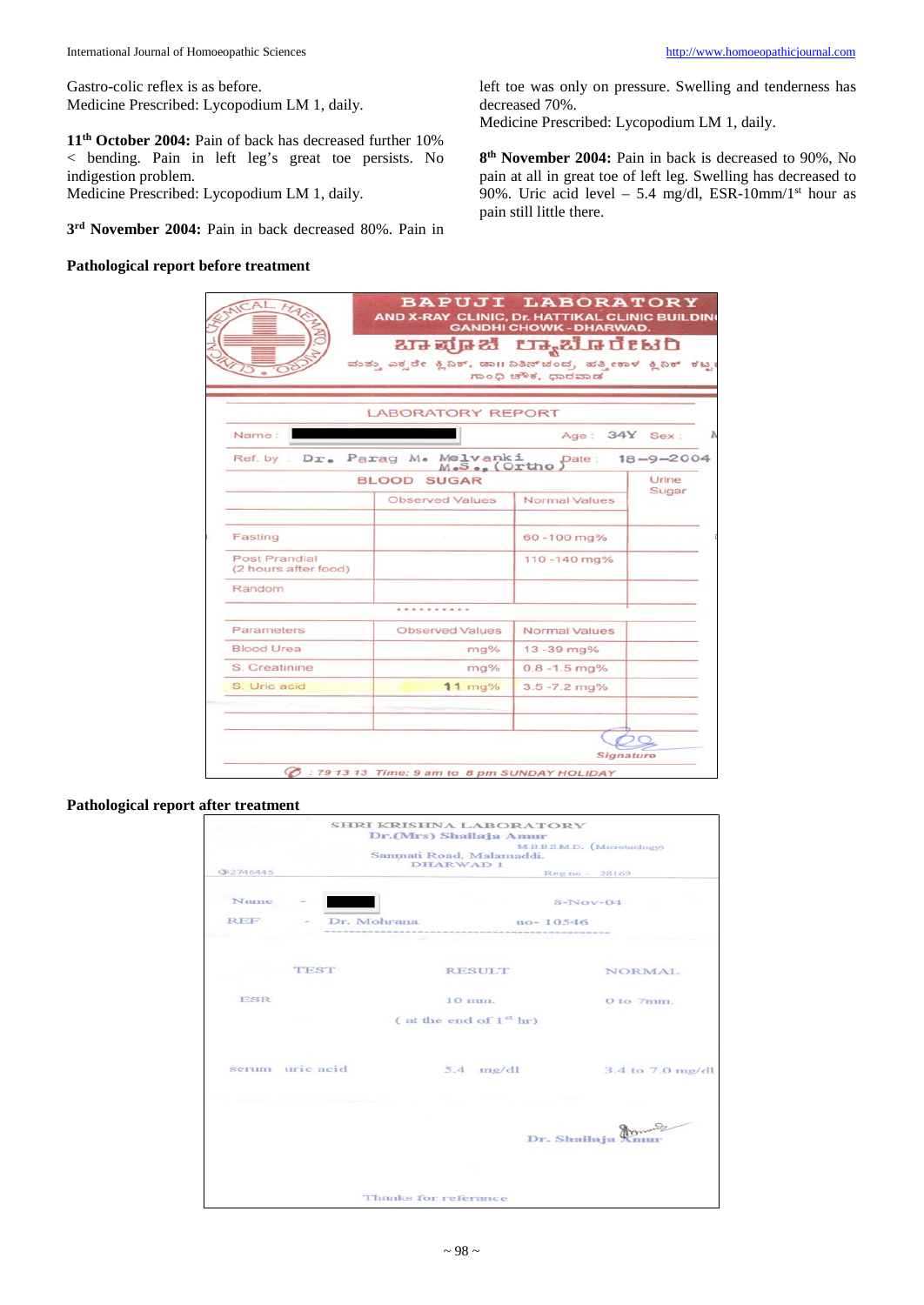Gastro-colic reflex is as before. Medicine Prescribed: Lycopodium LM 1, daily.

**11th October 2004:** Pain of back has decreased further 10% < bending. Pain in left leg's great toe persists. No indigestion problem.

Medicine Prescribed: Lycopodium LM 1, daily.

**3rd November 2004:** Pain in back decreased 80%. Pain in

#### **Pathological report before treatment**

left toe was only on pressure. Swelling and tenderness has decreased 70%.

Medicine Prescribed: Lycopodium LM 1, daily.

**8th November 2004:** Pain in back is decreased to 90%, No pain at all in great toe of left leg. Swelling has decreased to 90%. Uric acid level – 5.4 mg/dl, ESR-10mm/1<sup>st</sup> hour as pain still little there.

|                                              |                                                                | ಬಾಪ್ರೂಜಿ ಲ್ಯಾಬೊರೇಟರಿ |                 |
|----------------------------------------------|----------------------------------------------------------------|----------------------|-----------------|
|                                              | ಮುತ್ತು ಎಕ್ಸರೇ ಕ್ಷಿನಿಕ್, ಡಾII ನಿತಿನ್ಚಂದ, ಹತ್ತೀಕಾಳ ಕ್ಷಿನಿಕ್ ಕಟ್ಟ | ಗಾಂಧಿ ಚೌಕ, ಧಾರವಾಡ    |                 |
|                                              |                                                                |                      |                 |
|                                              | <b>LABORATORY REPORT</b>                                       |                      |                 |
| Name:                                        |                                                                | Age: 34Y Sex:        |                 |
|                                              | Ref. by : Dr. Parag M. Melvanki<br>M.S., (Ortho                | Date:                | $18 - 9 - 2004$ |
|                                              | <b>BLOOD SUGAR</b>                                             |                      | Urine           |
|                                              | Observed Values                                                | Normal Values        | Sugar           |
| Fasting                                      |                                                                | 60-100 mg%           |                 |
| <b>Post Prandial</b><br>(2 hours after food) |                                                                | 110-140 mg%          |                 |
| Random                                       |                                                                |                      |                 |
|                                              |                                                                |                      |                 |
| Parameters                                   | Observed Values                                                | Normal Values        |                 |
| Blood Urea                                   | $mag$ %                                                        | $13 - 39$ mg%        |                 |
| S. Creatinine                                | mg%                                                            | $0.8 - 1.5$ mg%      |                 |
| S. Uric acid                                 | $11$ mg%                                                       | $3.5 - 7.2$ mg%      |                 |
|                                              |                                                                |                      |                 |
|                                              |                                                                |                      |                 |

# **Pathological report after treatment**

|            |                 | SHRI KRISHNA LABORATORY<br>Dr.(Mrs) Shallaja Amur |                        |                  |
|------------|-----------------|---------------------------------------------------|------------------------|------------------|
|            |                 | Sammati Road, Malamaddi.<br>DHARWAD 1             | MEBSMD. (Microbiology) |                  |
| CD2746445  |                 |                                                   | Reg no - 28169         |                  |
| Name       |                 |                                                   | $8-Nov-04$             |                  |
| <b>REF</b> |                 | Dr. Mohrana                                       | $no-10546$             |                  |
|            |                 |                                                   |                        |                  |
|            | <b>TEST</b>     | <b>RESULT</b>                                     |                        | <b>NORMAL</b>    |
| <b>ESR</b> |                 | $10$ mm.                                          |                        | $0$ to $7$ mm.   |
|            |                 | (at the end of $1nt$ hr)                          |                        |                  |
|            | serum uric acid | $5.4$ $mg/dl$                                     |                        | 3.4 to 7.0 mg/dl |
|            |                 |                                                   |                        |                  |
|            |                 |                                                   | Dr. Shailaja Am        |                  |
|            |                 |                                                   |                        |                  |
|            |                 | Thanks for referance                              |                        |                  |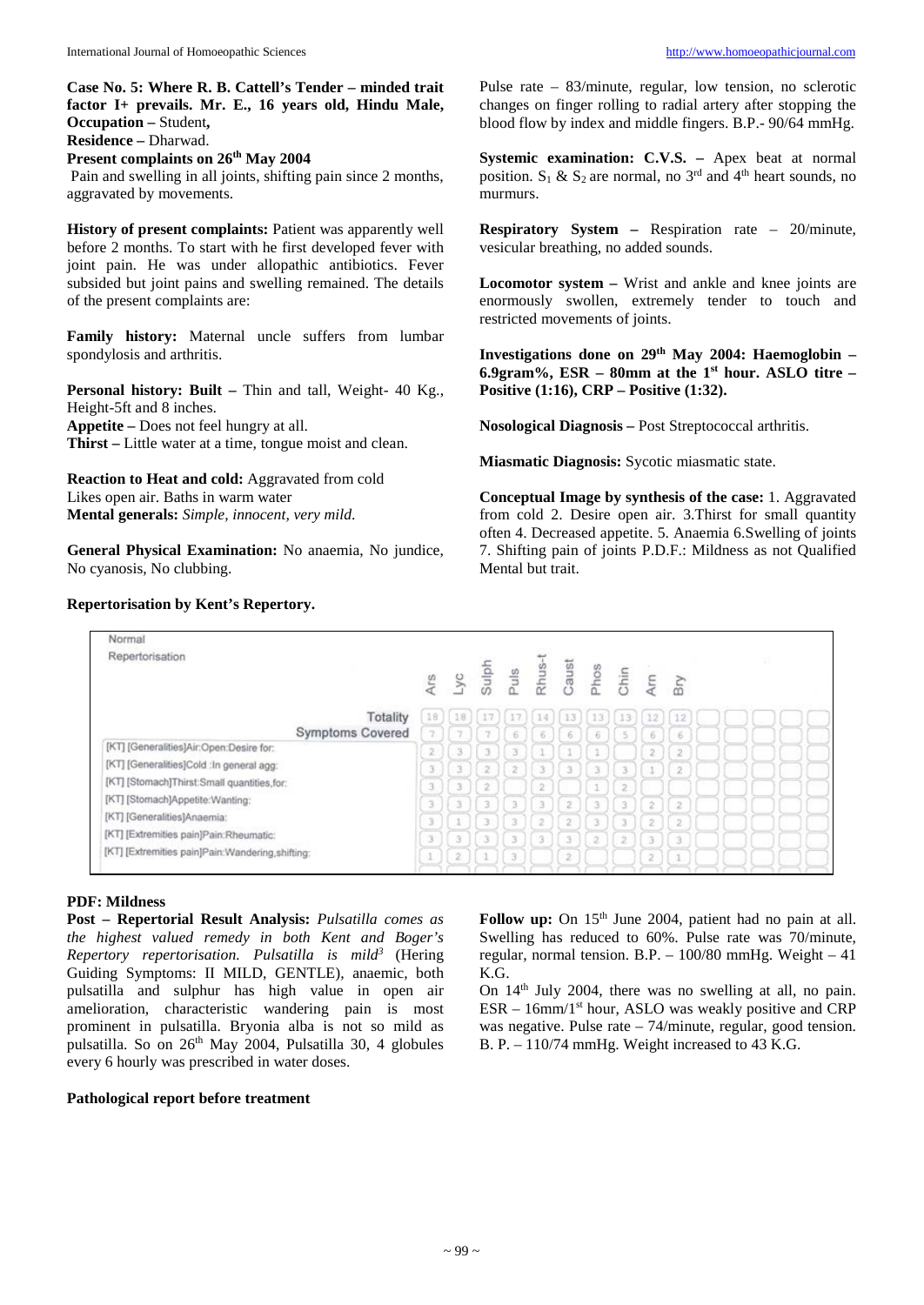**Case No. 5: Where R. B. Cattell's Tender – minded trait factor I+ prevails. Mr. E., 16 years old, Hindu Male, Occupation –** Student**, Residence –** Dharwad.

**Present complaints on 26th May 2004**

Pain and swelling in all joints, shifting pain since 2 months, aggravated by movements.

**History of present complaints:** Patient was apparently well before 2 months. To start with he first developed fever with joint pain. He was under allopathic antibiotics. Fever subsided but joint pains and swelling remained. The details of the present complaints are:

**Family history:** Maternal uncle suffers from lumbar spondylosis and arthritis.

**Personal history: Built –** Thin and tall, Weight- 40 Kg., Height-5ft and 8 inches. **Appetite –** Does not feel hungry at all.

**Thirst –** Little water at a time, tongue moist and clean.

**Reaction to Heat and cold:** Aggravated from cold Likes open air. Baths in warm water **Mental generals:** *Simple, innocent, very mild*.

**General Physical Examination:** No anaemia, No jundice, No cyanosis, No clubbing.

# **Repertorisation by Kent's Repertory.**

Pulse rate – 83/minute, regular, low tension, no sclerotic changes on finger rolling to radial artery after stopping the blood flow by index and middle fingers. B.P.- 90/64 mmHg.

**Systemic examination: C.V.S. –** Apex beat at normal position.  $S_1$  &  $S_2$  are normal, no 3<sup>rd</sup> and 4<sup>th</sup> heart sounds, no -<br>murmurs.

**Respiratory System –** Respiration rate – 20/minute, vesicular breathing, no added sounds.

**Locomotor system –** Wrist and ankle and knee joints are enormously swollen, extremely tender to touch and restricted movements of joints.

**Investigations done on 29th May 2004: Haemoglobin – 6.9gram%, ESR – 80mm at the 1st hour. ASLO titre – Positive (1:16), CRP – Positive (1:32).**

**Nosological Diagnosis –** Post Streptococcal arthritis.

**Miasmatic Diagnosis:** Sycotic miasmatic state.

**Conceptual Image by synthesis of the case:** 1. Aggravated from cold 2. Desire open air. 3.Thirst for small quantity often 4. Decreased appetite. 5. Anaemia 6.Swelling of joints 7. Shifting pain of joints P.D.F.: Mildness as not Qualified Mental but trait.

| 18<br>$\gamma$ | Ars<br>Lyc Sulph Rhus-1<br>Rhus-1<br>Chic Chic Arc<br>17 | 17.1                                   | 14             | 13                                    |                     |                          |                                                                    | Bry                              |                                   |  |
|----------------|----------------------------------------------------------|----------------------------------------|----------------|---------------------------------------|---------------------|--------------------------|--------------------------------------------------------------------|----------------------------------|-----------------------------------|--|
|                |                                                          |                                        |                |                                       |                     |                          |                                                                    |                                  |                                   |  |
|                |                                                          |                                        |                |                                       | 13                  | 13                       | 12                                                                 | 12                               |                                   |  |
|                |                                                          | 6                                      | $\overline{6}$ | 6                                     | ö.                  | 5                        | $\overline{6}$                                                     | б                                |                                   |  |
| 3.             | 3                                                        | 3                                      | 1              |                                       |                     |                          | $\bar{2}$                                                          | $\overline{2}$                   |                                   |  |
| 3              | 2                                                        | $\overline{2}$                         | 3              | 3                                     |                     |                          |                                                                    | $\overline{2}$                   |                                   |  |
| 3              |                                                          |                                        |                |                                       |                     |                          |                                                                    |                                  |                                   |  |
|                |                                                          |                                        |                |                                       |                     |                          |                                                                    |                                  |                                   |  |
|                |                                                          |                                        |                |                                       |                     |                          |                                                                    |                                  |                                   |  |
|                |                                                          |                                        |                |                                       |                     |                          |                                                                    |                                  |                                   |  |
| $\overline{2}$ |                                                          | $\overline{3}$                         |                | $\boldsymbol{z}$                      |                     |                          | $\bar{z}$                                                          |                                  |                                   |  |
|                | 3<br>3                                                   | $\overline{\mathbf{2}}$<br>3<br>3<br>3 | 3<br>3<br>3    | $\overline{2}$<br>3<br>$\bar{2}$<br>ä | 2<br>$\overline{2}$ | 3<br>3<br>$\overline{2}$ | 3<br>$\overline{\mathcal{Z}}$<br>з<br>3<br>$\overline{\mathbf{2}}$ | $\bar{2}$<br>2<br>$\overline{3}$ | $\overline{\mathbf{2}}$<br>2<br>3 |  |

# **PDF: Mildness**

**Post – Repertorial Result Analysis:** *Pulsatilla comes as the highest valued remedy in both Kent and Boger's Repertory repertorisation. Pulsatilla is mild3* (Hering Guiding Symptoms: II MILD, GENTLE)*,* anaemic*,* both pulsatilla and sulphur has high value in open air amelioration, characteristic wandering pain is most prominent in pulsatilla. Bryonia alba is not so mild as pulsatilla. So on 26<sup>th</sup> May 2004, Pulsatilla 30, 4 globules every 6 hourly was prescribed in water doses.

## **Pathological report before treatment**

Follow up: On 15<sup>th</sup> June 2004, patient had no pain at all. Swelling has reduced to 60%. Pulse rate was 70/minute, regular, normal tension. B.P. – 100/80 mmHg. Weight – 41 K.G.

On 14<sup>th</sup> July 2004, there was no swelling at all, no pain.  $ESR - 16$ mm/1<sup>st</sup> hour, ASLO was weakly positive and CRP was negative. Pulse rate – 74/minute, regular, good tension. B. P. – 110/74 mmHg. Weight increased to 43 K.G.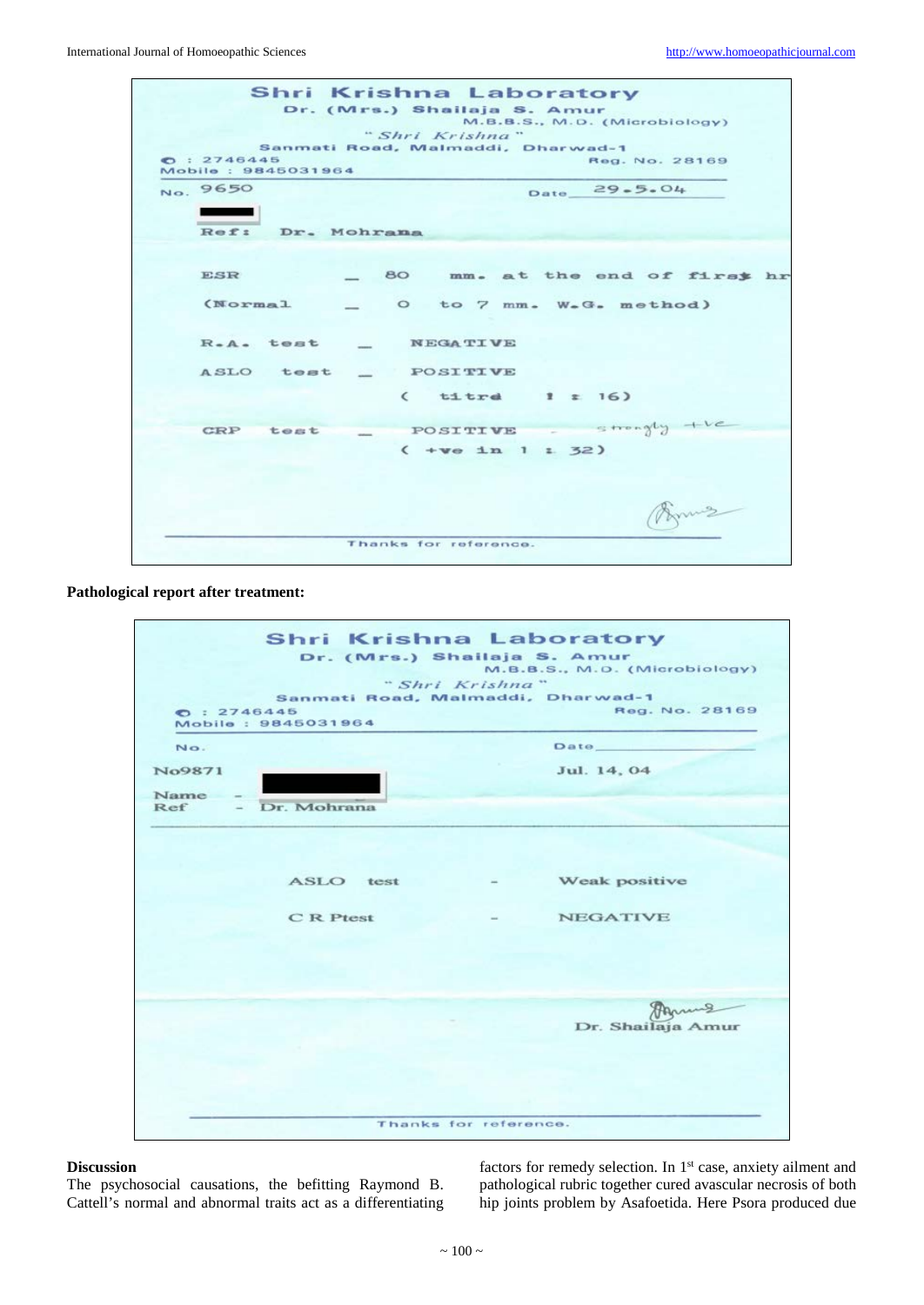

#### **Pathological report after treatment:**

| O: 2746445  | Mobile: 9845031964 | Sanmati Road, Malmaddi, Dharwad-1<br>Reg. No. 28169 |
|-------------|--------------------|-----------------------------------------------------|
| No.         |                    | Date_                                               |
| No9871      |                    | Jul. 14, 04                                         |
| Name<br>Ref | - Dr. Mohrana      |                                                     |
|             |                    |                                                     |
|             |                    |                                                     |
|             | ASLO test          | Weak positive                                       |
|             | C R Ptest          | <b>NEGATIVE</b>                                     |
|             |                    |                                                     |
|             |                    |                                                     |
|             |                    | Anna                                                |
|             |                    | Dr. Shailaja Amur                                   |

#### **Discussion**

The psychosocial causations, the befitting Raymond B. Cattell's normal and abnormal traits act as a differentiating factors for remedy selection. In 1<sup>st</sup> case, anxiety ailment and pathological rubric together cured avascular necrosis of both hip joints problem by Asafoetida. Here Psora produced due